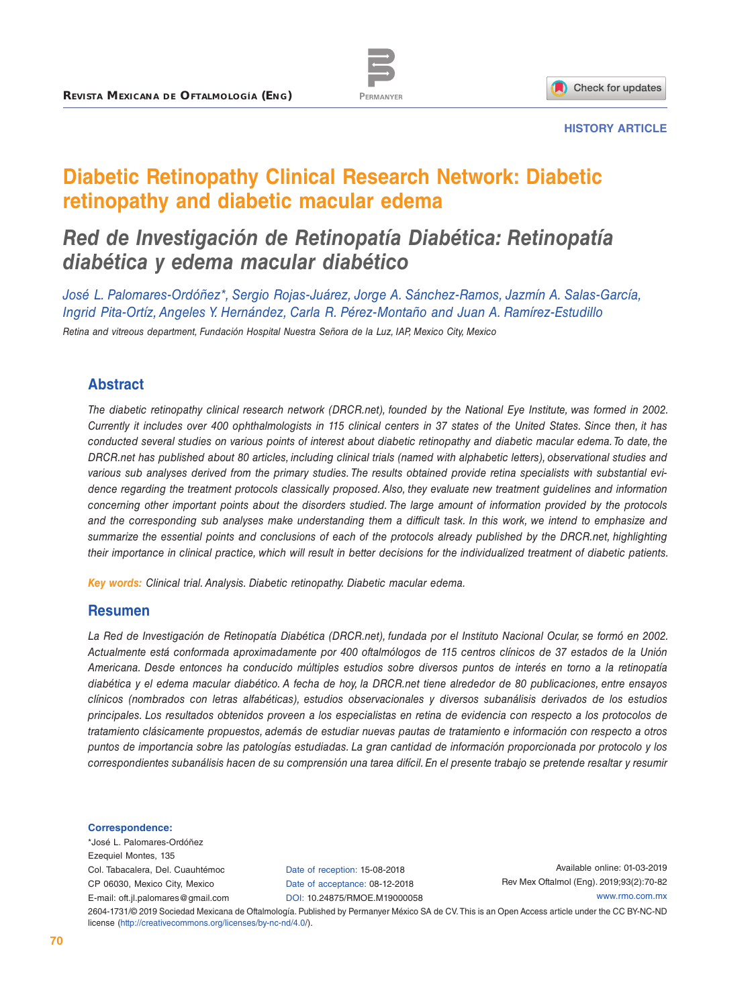



#### **HISTORY ARTICLE**

# **Diabetic Retinopathy Clinical Research Network: Diabetic retinopathy and diabetic macular edema**

# *Red de Investigación de Retinopatía Diabética: Retinopatía diabética y edema macular diabético*

*José L. Palomares-Ordóñez\*, Sergio Rojas-Juárez, Jorge A. Sánchez-Ramos, Jazmín A. Salas-García, Ingrid Pita-Ortíz, Angeles Y. Hernández, Carla R. Pérez-Montaño and Juan A. Ramírez-Estudillo Retina and vitreous department, Fundación Hospital Nuestra Señora de la Luz, IAP, Mexico City, Mexico*

#### **Abstract**

*The diabetic retinopathy clinical research network (DRCR.net), founded by the National Eye Institute, was formed in 2002. Currently it includes over 400 ophthalmologists in 115 clinical centers in 37 states of the United States. Since then, it has conducted several studies on various points of interest about diabetic retinopathy and diabetic macular edema. To date, the DRCR.net has published about 80 articles, including clinical trials (named with alphabetic letters), observational studies and various sub analyses derived from the primary studies. The results obtained provide retina specialists with substantial evidence regarding the treatment protocols classically proposed. Also, they evaluate new treatment guidelines and information concerning other important points about the disorders studied. The large amount of information provided by the protocols and the corresponding sub analyses make understanding them a difficult task. In this work, we intend to emphasize and summarize the essential points and conclusions of each of the protocols already published by the DRCR.net, highlighting their importance in clinical practice, which will result in better decisions for the individualized treatment of diabetic patients.*

*Key words: Clinical trial. Analysis. Diabetic retinopathy. Diabetic macular edema.*

#### **Resumen**

La Red de Investigación de Retinopatía Diabética (DRCR.net), fundada por el Instituto Nacional Ocular, se formó en 2002. *Actualmente está conformada aproximadamente por 400 oftalmólogos de 115 centros clínicos de 37 estados de la Unión Americana. Desde entonces ha conducido múltiples estudios sobre diversos puntos de interés en torno a la retinopatía diabética y el edema macular diabético. A fecha de hoy, la DRCR.net tiene alrededor de 80 publicaciones, entre ensayos clínicos (nombrados con letras alfabéticas), estudios observacionales y diversos subanálisis derivados de los estudios principales. Los resultados obtenidos proveen a los especialistas en retina de evidencia con respecto a los protocolos de tratamiento clásicamente propuestos, además de estudiar nuevas pautas de tratamiento e información con respecto a otros puntos de importancia sobre las patologías estudiadas. La gran cantidad de información proporcionada por protocolo y los correspondientes subanálisis hacen de su comprensión una tarea difícil. En el presente trabajo se pretende resaltar y resumir* 

#### **Correspondence:**

\*José L. Palomares-Ordóñez Ezequiel Montes, 135 Col. Tabacalera, Del. Cuauhtémoc CP 06030, Mexico City, Mexico E-mail: [oft.jl.palomares@gmail.com](mailto:oft.jl.palomares%40gmail.com?subject=)

Date of reception: 15-08-2018 Date of acceptance: 08-12-2018 DOI: [10.24875/RMOE.M19000058](http://dx.doi.org/10.24875/RMOE.M19000058)

Available online: 01-03-2019 Rev Mex Oftalmol (Eng). 2019;93(2):70-82 [www.rmo.com.mx](http://www.rmo.com.mx)

2604-1731/© 2019 Sociedad Mexicana de Oftalmología. Published by Permanyer México SA de CV. This is an Open Access article under the CC BY-NC-ND license (<http://creativecommons.org/licenses/by-nc-nd/4.0/>).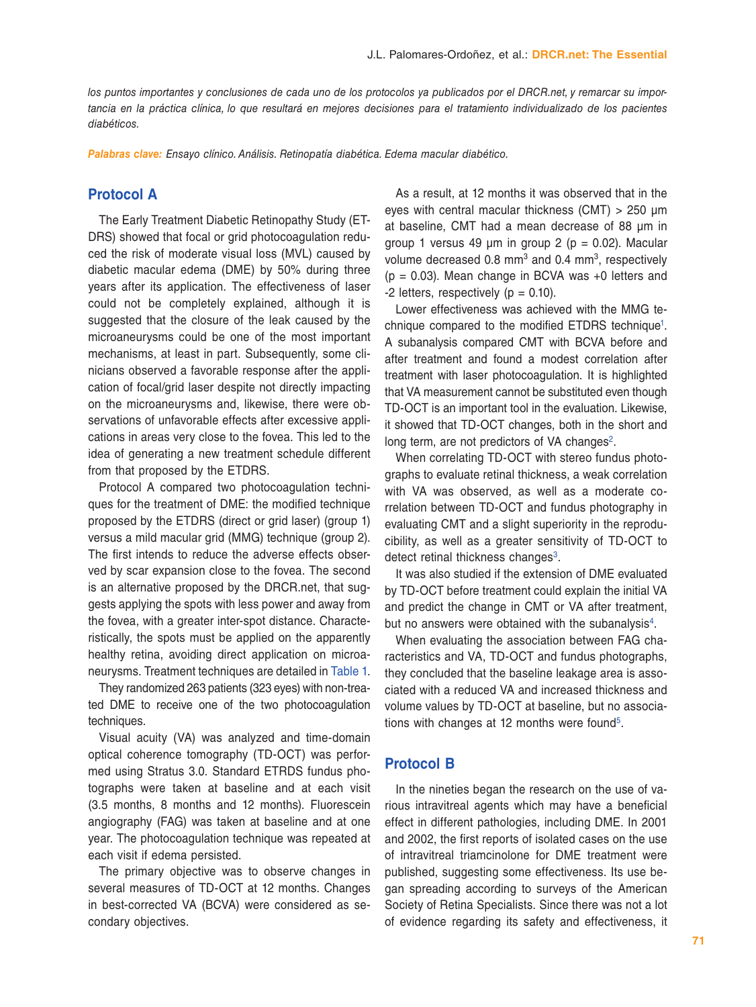*los puntos importantes y conclusiones de cada uno de los protocolos ya publicados por el DRCR.net, y remarcar su impor*tancia en la práctica clínica, lo que resultará en mejores decisiones para el tratamiento individualizado de los pacientes *diabéticos.*

*Palabras clave: Ensayo clínico. Análisis. Retinopatía diabética. Edema macular diabético.*

#### **Protocol A**

The Early Treatment Diabetic Retinopathy Study (ET-DRS) showed that focal or grid photocoagulation reduced the risk of moderate visual loss (MVL) caused by diabetic macular edema (DME) by 50% during three years after its application. The effectiveness of laser could not be completely explained, although it is suggested that the closure of the leak caused by the microaneurysms could be one of the most important mechanisms, at least in part. Subsequently, some clinicians observed a favorable response after the application of focal/grid laser despite not directly impacting on the microaneurysms and, likewise, there were observations of unfavorable effects after excessive applications in areas very close to the fovea. This led to the idea of generating a new treatment schedule different from that proposed by the ETDRS.

Protocol A compared two photocoagulation techniques for the treatment of DME: the modified technique proposed by the ETDRS (direct or grid laser) (group 1) versus a mild macular grid (MMG) technique (group 2). The first intends to reduce the adverse effects observed by scar expansion close to the fovea. The second is an alternative proposed by the DRCR.net, that suggests applying the spots with less power and away from the fovea, with a greater inter-spot distance. Characteristically, the spots must be applied on the apparently healthy retina, avoiding direct application on microaneurysms. Treatment techniques are detailed in [Table 1](#page-2-0).

They randomized 263 patients (323 eyes) with non-treated DME to receive one of the two photocoagulation techniques.

Visual acuity (VA) was analyzed and time-domain optical coherence tomography (TD-OCT) was performed using Stratus 3.0. Standard ETRDS fundus photographs were taken at baseline and at each visit (3.5 months, 8 months and 12 months). Fluorescein angiography (FAG) was taken at baseline and at one year. The photocoagulation technique was repeated at each visit if edema persisted.

The primary objective was to observe changes in several measures of TD-OCT at 12 months. Changes in best-corrected VA (BCVA) were considered as secondary objectives.

As a result, at 12 months it was observed that in the eyes with central macular thickness (CMT) > 250 μm at baseline, CMT had a mean decrease of 88 μm in group 1 versus 49 μm in group 2 ( $p = 0.02$ ). Macular volume decreased 0.8  $mm<sup>3</sup>$  and 0.4  $mm<sup>3</sup>$ , respectively  $(p = 0.03)$ . Mean change in BCVA was  $+0$  letters and  $-2$  letters, respectively ( $p = 0.10$ ).

Lower effectiveness was achieved with the MMG technique compared to the modified ETDRS technique<sup>1</sup>. A subanalysis compared CMT with BCVA before and after treatment and found a modest correlation after treatment with laser photocoagulation. It is highlighted that VA measurement cannot be substituted even though TD-OCT is an important tool in the evaluation. Likewise, it showed that TD-OCT changes, both in the short and long term, are not predictors of VA changes<sup>[2](#page-12-1)</sup>.

When correlating TD-OCT with stereo fundus photographs to evaluate retinal thickness, a weak correlation with VA was observed, as well as a moderate correlation between TD-OCT and fundus photography in evaluating CMT and a slight superiority in the reproducibility, as well as a greater sensitivity of TD-OCT to detect retinal thickness changes<sup>3</sup>.

It was also studied if the extension of DME evaluated by TD-OCT before treatment could explain the initial VA and predict the change in CMT or VA after treatment, but no answers were obtained with the subanalysis<sup>[4](#page-12-3)</sup>.

When evaluating the association between FAG characteristics and VA, TD-OCT and fundus photographs, they concluded that the baseline leakage area is associated with a reduced VA and increased thickness and volume values by TD-OCT at baseline, but no associa-tions with changes at 12 months were found<sup>[5](#page-12-4)</sup>.

## **Protocol B**

In the nineties began the research on the use of various intravitreal agents which may have a beneficial effect in different pathologies, including DME. In 2001 and 2002, the first reports of isolated cases on the use of intravitreal triamcinolone for DME treatment were published, suggesting some effectiveness. Its use began spreading according to surveys of the American Society of Retina Specialists. Since there was not a lot of evidence regarding its safety and effectiveness, it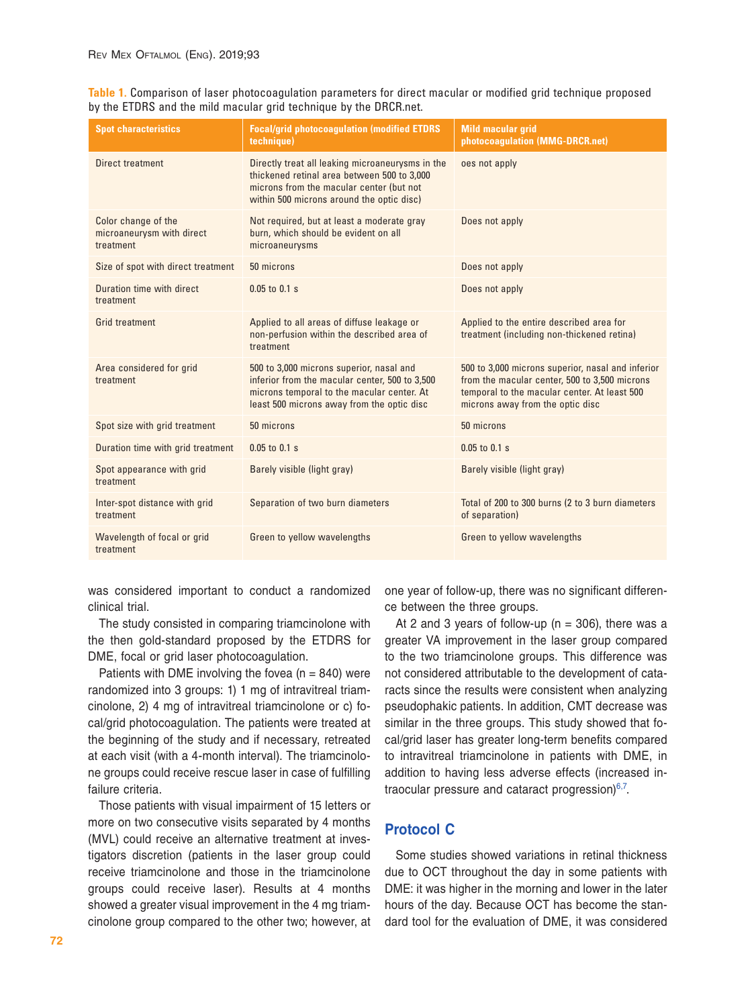<span id="page-2-1"></span><span id="page-2-0"></span>**[Table 1.](#page-2-1)** Comparison of laser photocoagulation parameters for direct macular or modified grid technique proposed by the ETDRS and the mild macular grid technique by the DRCR.net.

| <b>Spot characteristics</b>                                   | <b>Focal/grid photocoagulation (modified ETDRS)</b><br>technique)                                                                                                                        | <b>Mild macular grid</b><br>photocoagulation (MMG-DRCR.net)                                                                                                                            |
|---------------------------------------------------------------|------------------------------------------------------------------------------------------------------------------------------------------------------------------------------------------|----------------------------------------------------------------------------------------------------------------------------------------------------------------------------------------|
| Direct treatment                                              | Directly treat all leaking microaneurysms in the<br>thickened retinal area between 500 to 3,000<br>microns from the macular center (but not<br>within 500 microns around the optic disc) | oes not apply                                                                                                                                                                          |
| Color change of the<br>microaneurysm with direct<br>treatment | Not required, but at least a moderate gray<br>burn, which should be evident on all<br>microaneurysms                                                                                     | Does not apply                                                                                                                                                                         |
| Size of spot with direct treatment                            | 50 microns                                                                                                                                                                               | Does not apply                                                                                                                                                                         |
| Duration time with direct<br>treatment                        | $0.05$ to $0.1$ s                                                                                                                                                                        | Does not apply                                                                                                                                                                         |
| <b>Grid treatment</b>                                         | Applied to all areas of diffuse leakage or<br>non-perfusion within the described area of<br>treatment                                                                                    | Applied to the entire described area for<br>treatment (including non-thickened retina)                                                                                                 |
| Area considered for grid<br>treatment                         | 500 to 3,000 microns superior, nasal and<br>inferior from the macular center, 500 to 3,500<br>microns temporal to the macular center. At<br>least 500 microns away from the optic disc   | 500 to 3,000 microns superior, nasal and inferior<br>from the macular center, 500 to 3,500 microns<br>temporal to the macular center. At least 500<br>microns away from the optic disc |
| Spot size with grid treatment                                 | 50 microns                                                                                                                                                                               | 50 microns                                                                                                                                                                             |
| Duration time with grid treatment                             | $0.05$ to $0.1$ s                                                                                                                                                                        | $0.05$ to $0.1$ s                                                                                                                                                                      |
| Spot appearance with grid<br>treatment                        | Barely visible (light gray)                                                                                                                                                              | Barely visible (light gray)                                                                                                                                                            |
| Inter-spot distance with grid<br>treatment                    | Separation of two burn diameters                                                                                                                                                         | Total of 200 to 300 burns (2 to 3 burn diameters<br>of separation)                                                                                                                     |
| Wavelength of focal or grid<br>treatment                      | Green to yellow wavelengths                                                                                                                                                              | Green to yellow wavelengths                                                                                                                                                            |

was considered important to conduct a randomized clinical trial.

The study consisted in comparing triamcinolone with the then gold-standard proposed by the ETDRS for DME, focal or grid laser photocoagulation.

Patients with DME involving the fovea ( $n = 840$ ) were randomized into 3 groups: 1) 1 mg of intravitreal triamcinolone, 2) 4 mg of intravitreal triamcinolone or c) focal/grid photocoagulation. The patients were treated at the beginning of the study and if necessary, retreated at each visit (with a 4-month interval). The triamcinolone groups could receive rescue laser in case of fulfilling failure criteria.

Those patients with visual impairment of 15 letters or more on two consecutive visits separated by 4 months (MVL) could receive an alternative treatment at investigators discretion (patients in the laser group could receive triamcinolone and those in the triamcinolone groups could receive laser). Results at 4 months showed a greater visual improvement in the 4 mg triamcinolone group compared to the other two; however, at one year of follow-up, there was no significant difference between the three groups.

At 2 and 3 years of follow-up ( $n = 306$ ), there was a greater VA improvement in the laser group compared to the two triamcinolone groups. This difference was not considered attributable to the development of cataracts since the results were consistent when analyzing pseudophakic patients. In addition, CMT decrease was similar in the three groups. This study showed that focal/grid laser has greater long-term benefits compared to intravitreal triamcinolone in patients with DME, in addition to having less adverse effects (increased intraocular pressure and cataract progression) $6,7$  $6,7$ .

## **Protocol C**

Some studies showed variations in retinal thickness due to OCT throughout the day in some patients with DME: it was higher in the morning and lower in the later hours of the day. Because OCT has become the standard tool for the evaluation of DME, it was considered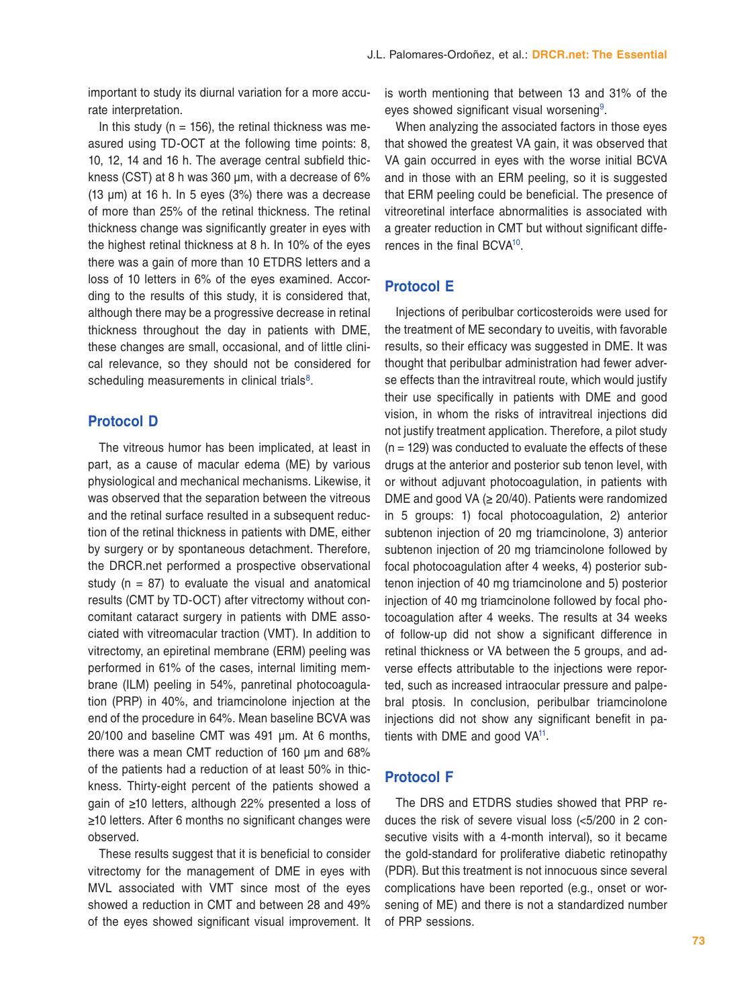important to study its diurnal variation for a more accurate interpretation.

In this study ( $n = 156$ ), the retinal thickness was measured using TD-OCT at the following time points: 8, 10, 12, 14 and 16 h. The average central subfield thickness (CST) at 8 h was 360 μm, with a decrease of 6% (13 μm) at 16 h. In 5 eyes (3%) there was a decrease of more than 25% of the retinal thickness. The retinal thickness change was significantly greater in eyes with the highest retinal thickness at 8 h. In 10% of the eyes there was a gain of more than 10 ETDRS letters and a loss of 10 letters in 6% of the eyes examined. According to the results of this study, it is considered that, although there may be a progressive decrease in retinal thickness throughout the day in patients with DME, these changes are small, occasional, and of little clinical relevance, so they should not be considered for scheduling measurements in clinical trials<sup>[8](#page-12-7)</sup>.

## **Protocol D**

The vitreous humor has been implicated, at least in part, as a cause of macular edema (ME) by various physiological and mechanical mechanisms. Likewise, it was observed that the separation between the vitreous and the retinal surface resulted in a subsequent reduction of the retinal thickness in patients with DME, either by surgery or by spontaneous detachment. Therefore, the DRCR.net performed a prospective observational study ( $n = 87$ ) to evaluate the visual and anatomical results (CMT by TD-OCT) after vitrectomy without concomitant cataract surgery in patients with DME associated with vitreomacular traction (VMT). In addition to vitrectomy, an epiretinal membrane (ERM) peeling was performed in 61% of the cases, internal limiting membrane (ILM) peeling in 54%, panretinal photocoagulation (PRP) in 40%, and triamcinolone injection at the end of the procedure in 64%. Mean baseline BCVA was 20/100 and baseline CMT was 491 μm. At 6 months, there was a mean CMT reduction of 160 μm and 68% of the patients had a reduction of at least 50% in thickness. Thirty-eight percent of the patients showed a gain of ≥10 letters, although 22% presented a loss of ≥10 letters. After 6 months no significant changes were observed.

These results suggest that it is beneficial to consider vitrectomy for the management of DME in eyes with MVL associated with VMT since most of the eyes showed a reduction in CMT and between 28 and 49% of the eyes showed significant visual improvement. It is worth mentioning that between 13 and 31% of the eyes showed significant visual worsening<sup>[9](#page-12-8)</sup>.

When analyzing the associated factors in those eyes that showed the greatest VA gain, it was observed that VA gain occurred in eyes with the worse initial BCVA and in those with an ERM peeling, so it is suggested that ERM peeling could be beneficial. The presence of vitreoretinal interface abnormalities is associated with a greater reduction in CMT but without significant differences in the final BCV[A10](#page-12-9).

## **Protocol E**

Injections of peribulbar corticosteroids were used for the treatment of ME secondary to uveitis, with favorable results, so their efficacy was suggested in DME. It was thought that peribulbar administration had fewer adverse effects than the intravitreal route, which would justify their use specifically in patients with DME and good vision, in whom the risks of intravitreal injections did not justify treatment application. Therefore, a pilot study  $(n = 129)$  was conducted to evaluate the effects of these drugs at the anterior and posterior sub tenon level, with or without adjuvant photocoagulation, in patients with DME and good VA ( $\geq$  20/40). Patients were randomized in 5 groups: 1) focal photocoagulation, 2) anterior subtenon injection of 20 mg triamcinolone, 3) anterior subtenon injection of 20 mg triamcinolone followed by focal photocoagulation after 4 weeks, 4) posterior subtenon injection of 40 mg triamcinolone and 5) posterior injection of 40 mg triamcinolone followed by focal photocoagulation after 4 weeks. The results at 34 weeks of follow-up did not show a significant difference in retinal thickness or VA between the 5 groups, and adverse effects attributable to the injections were reported, such as increased intraocular pressure and palpebral ptosis. In conclusion, peribulbar triamcinolone injections did not show any significant benefit in patients with DME and good VA<sup>11</sup>.

#### **Protocol F**

The DRS and ETDRS studies showed that PRP reduces the risk of severe visual loss (<5/200 in 2 consecutive visits with a 4-month interval), so it became the gold-standard for proliferative diabetic retinopathy (PDR). But this treatment is not innocuous since several complications have been reported (e.g., onset or worsening of ME) and there is not a standardized number of PRP sessions.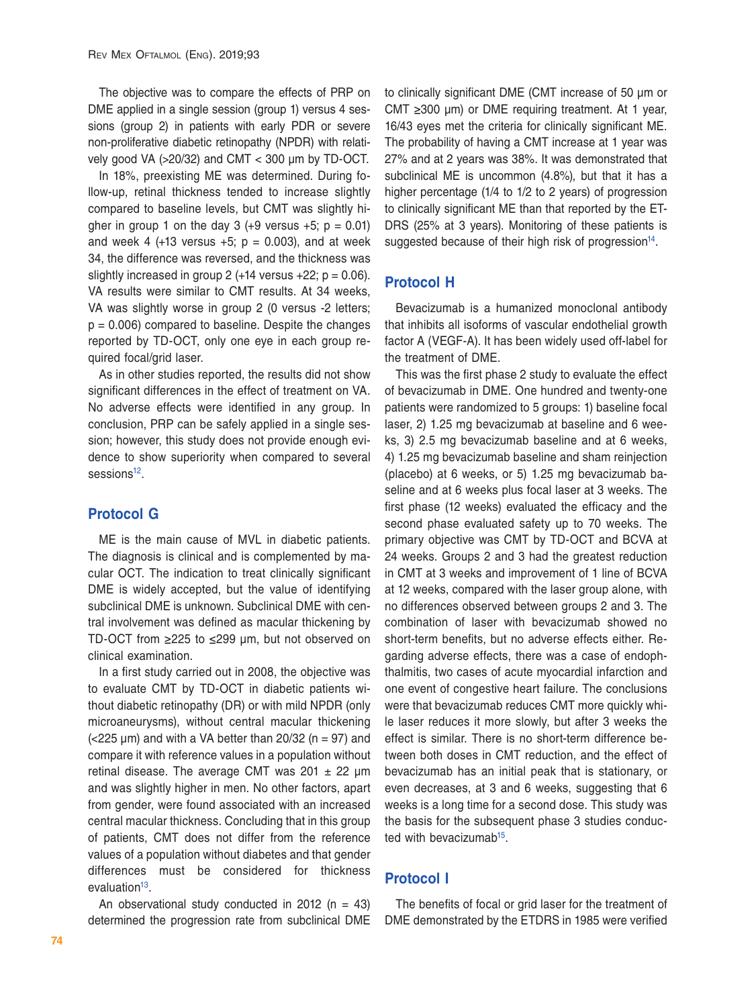The objective was to compare the effects of PRP on DME applied in a single session (group 1) versus 4 sessions (group 2) in patients with early PDR or severe non-proliferative diabetic retinopathy (NPDR) with relatively good VA (>20/32) and CMT < 300 μm by TD-OCT.

In 18%, preexisting ME was determined. During follow-up, retinal thickness tended to increase slightly compared to baseline levels, but CMT was slightly higher in group 1 on the day 3  $(+9 \text{ versus } +5; \text{ p} = 0.01)$ and week 4 (+13 versus  $+5$ ;  $p = 0.003$ ), and at week 34, the difference was reversed, and the thickness was slightly increased in group 2 ( $+14$  versus  $+22$ ;  $p = 0.06$ ). VA results were similar to CMT results. At 34 weeks, VA was slightly worse in group 2 (0 versus -2 letters;  $p = 0.006$ ) compared to baseline. Despite the changes reported by TD-OCT, only one eye in each group required focal/grid laser.

As in other studies reported, the results did not show significant differences in the effect of treatment on VA. No adverse effects were identified in any group. In conclusion, PRP can be safely applied in a single session; however, this study does not provide enough evidence to show superiority when compared to several sessions<sup>12</sup>.

## **Protocol G**

ME is the main cause of MVL in diabetic patients. The diagnosis is clinical and is complemented by macular OCT. The indication to treat clinically significant DME is widely accepted, but the value of identifying subclinical DME is unknown. Subclinical DME with central involvement was defined as macular thickening by TD-OCT from ≥225 to ≤299 μm, but not observed on clinical examination.

In a first study carried out in 2008, the objective was to evaluate CMT by TD-OCT in diabetic patients without diabetic retinopathy (DR) or with mild NPDR (only microaneurysms), without central macular thickening  $(<$ 225  $\mu$ m) and with a VA better than 20/32 (n = 97) and compare it with reference values in a population without retinal disease. The average CMT was  $201 \pm 22$  µm and was slightly higher in men. No other factors, apart from gender, were found associated with an increased central macular thickness. Concluding that in this group of patients, CMT does not differ from the reference values of a population without diabetes and that gender differences must be considered for thickness evaluation $13$ .

An observational study conducted in 2012 ( $n = 43$ ) determined the progression rate from subclinical DME to clinically significant DME (CMT increase of 50 μm or CMT  $\geq$ 300 μm) or DME requiring treatment. At 1 year, 16/43 eyes met the criteria for clinically significant ME. The probability of having a CMT increase at 1 year was 27% and at 2 years was 38%. It was demonstrated that subclinical ME is uncommon (4.8%), but that it has a higher percentage (1/4 to 1/2 to 2 years) of progression to clinically significant ME than that reported by the ET-DRS (25% at 3 years). Monitoring of these patients is suggested because of their high risk of progression $14$ .

## **Protocol H**

Bevacizumab is a humanized monoclonal antibody that inhibits all isoforms of vascular endothelial growth factor A (VEGF-A). It has been widely used off-label for the treatment of DME.

This was the first phase 2 study to evaluate the effect of bevacizumab in DME. One hundred and twenty-one patients were randomized to 5 groups: 1) baseline focal laser, 2) 1.25 mg bevacizumab at baseline and 6 weeks, 3) 2.5 mg bevacizumab baseline and at 6 weeks, 4) 1.25 mg bevacizumab baseline and sham reinjection (placebo) at 6 weeks, or 5) 1.25 mg bevacizumab baseline and at 6 weeks plus focal laser at 3 weeks. The first phase (12 weeks) evaluated the efficacy and the second phase evaluated safety up to 70 weeks. The primary objective was CMT by TD-OCT and BCVA at 24 weeks. Groups 2 and 3 had the greatest reduction in CMT at 3 weeks and improvement of 1 line of BCVA at 12 weeks, compared with the laser group alone, with no differences observed between groups 2 and 3. The combination of laser with bevacizumab showed no short-term benefits, but no adverse effects either. Regarding adverse effects, there was a case of endophthalmitis, two cases of acute myocardial infarction and one event of congestive heart failure. The conclusions were that bevacizumab reduces CMT more quickly while laser reduces it more slowly, but after 3 weeks the effect is similar. There is no short-term difference between both doses in CMT reduction, and the effect of bevacizumab has an initial peak that is stationary, or even decreases, at 3 and 6 weeks, suggesting that 6 weeks is a long time for a second dose. This study was the basis for the subsequent phase 3 studies conducted with bevacizumab<sup>15</sup>.

## **Protocol I**

The benefits of focal or grid laser for the treatment of DME demonstrated by the ETDRS in 1985 were verified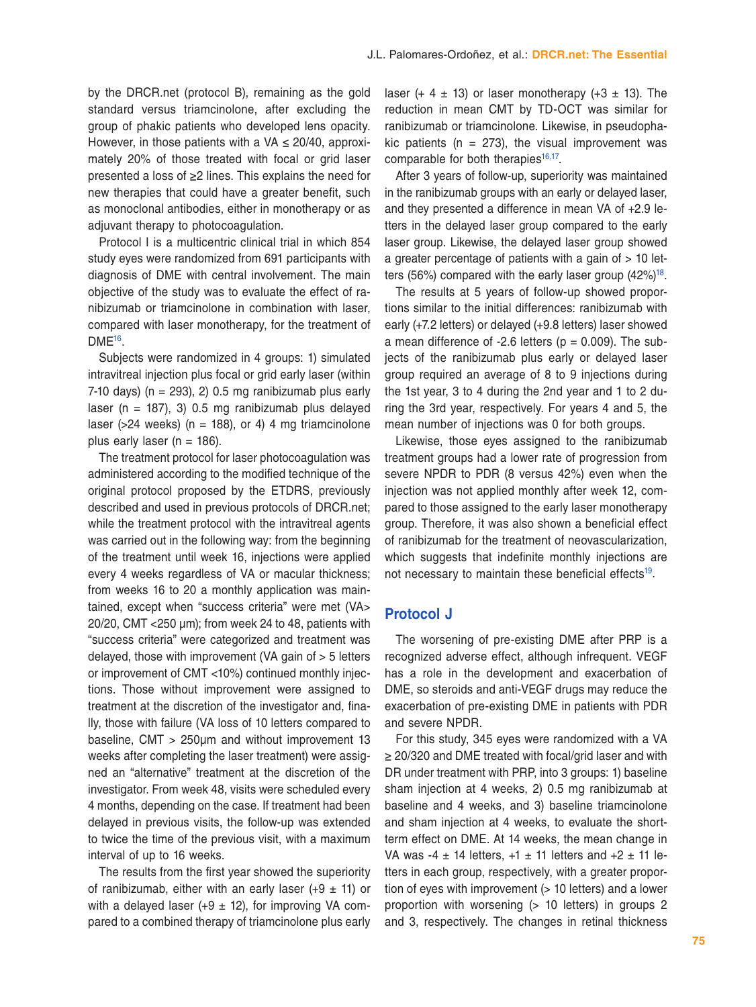by the DRCR.net (protocol B), remaining as the gold standard versus triamcinolone, after excluding the group of phakic patients who developed lens opacity. However, in those patients with a VA  $\leq$  20/40, approximately 20% of those treated with focal or grid laser presented a loss of ≥2 lines. This explains the need for new therapies that could have a greater benefit, such as monoclonal antibodies, either in monotherapy or as adjuvant therapy to photocoagulation.

Protocol I is a multicentric clinical trial in which 854 study eyes were randomized from 691 participants with diagnosis of DME with central involvement. The main objective of the study was to evaluate the effect of ranibizumab or triamcinolone in combination with laser, compared with laser monotherapy, for the treatment of DME<sup>16</sup>.

Subjects were randomized in 4 groups: 1) simulated intravitreal injection plus focal or grid early laser (within 7-10 days) ( $n = 293$ ), 2) 0.5 mg ranibizumab plus early laser ( $n = 187$ ), 3) 0.5 mg ranibizumab plus delayed laser ( $>$ 24 weeks) (n = 188), or 4) 4 mg triamcinolone plus early laser ( $n = 186$ ).

The treatment protocol for laser photocoagulation was administered according to the modified technique of the original protocol proposed by the ETDRS, previously described and used in previous protocols of DRCR.net; while the treatment protocol with the intravitreal agents was carried out in the following way: from the beginning of the treatment until week 16, injections were applied every 4 weeks regardless of VA or macular thickness; from weeks 16 to 20 a monthly application was maintained, except when "success criteria" were met (VA> 20/20, CMT <250 μm); from week 24 to 48, patients with "success criteria" were categorized and treatment was delayed, those with improvement (VA gain of > 5 letters or improvement of CMT <10%) continued monthly injections. Those without improvement were assigned to treatment at the discretion of the investigator and, finally, those with failure (VA loss of 10 letters compared to baseline, CMT > 250μm and without improvement 13 weeks after completing the laser treatment) were assigned an "alternative" treatment at the discretion of the investigator. From week 48, visits were scheduled every 4 months, depending on the case. If treatment had been delayed in previous visits, the follow-up was extended to twice the time of the previous visit, with a maximum interval of up to 16 weeks.

The results from the first year showed the superiority of ranibizumab, either with an early laser (+9  $\pm$  11) or with a delayed laser (+9  $\pm$  12), for improving VA compared to a combined therapy of triamcinolone plus early

laser (+ 4  $\pm$  13) or laser monotherapy (+3  $\pm$  13). The reduction in mean CMT by TD-OCT was similar for ranibizumab or triamcinolone. Likewise, in pseudophakic patients ( $n = 273$ ), the visual improvement was comparable for both therapies $16,17$  $16,17$ .

After 3 years of follow-up, superiority was maintained in the ranibizumab groups with an early or delayed laser, and they presented a difference in mean VA of +2.9 letters in the delayed laser group compared to the early laser group. Likewise, the delayed laser group showed a greater percentage of patients with a gain of  $> 10$  letters (56%) compared with the early laser group  $(42\%)^{18}$ .

The results at 5 years of follow-up showed proportions similar to the initial differences: ranibizumab with early (+7.2 letters) or delayed (+9.8 letters) laser showed a mean difference of  $-2.6$  letters ( $p = 0.009$ ). The subjects of the ranibizumab plus early or delayed laser group required an average of 8 to 9 injections during the 1st year, 3 to 4 during the 2nd year and 1 to 2 during the 3rd year, respectively. For years 4 and 5, the mean number of injections was 0 for both groups.

Likewise, those eyes assigned to the ranibizumab treatment groups had a lower rate of progression from severe NPDR to PDR (8 versus 42%) even when the injection was not applied monthly after week 12, compared to those assigned to the early laser monotherapy group. Therefore, it was also shown a beneficial effect of ranibizumab for the treatment of neovascularization, which suggests that indefinite monthly injections are not necessary to maintain these beneficial effects<sup>19</sup>.

#### **Protocol J**

The worsening of pre-existing DME after PRP is a recognized adverse effect, although infrequent. VEGF has a role in the development and exacerbation of DME, so steroids and anti-VEGF drugs may reduce the exacerbation of pre-existing DME in patients with PDR and severe NPDR.

For this study, 345 eyes were randomized with a VA ≥ 20/320 and DME treated with focal/grid laser and with DR under treatment with PRP, into 3 groups: 1) baseline sham injection at 4 weeks, 2) 0.5 mg ranibizumab at baseline and 4 weeks, and 3) baseline triamcinolone and sham injection at 4 weeks, to evaluate the shortterm effect on DME. At 14 weeks, the mean change in VA was -4  $\pm$  14 letters, +1  $\pm$  11 letters and +2  $\pm$  11 letters in each group, respectively, with a greater proportion of eyes with improvement (> 10 letters) and a lower proportion with worsening (> 10 letters) in groups 2 and 3, respectively. The changes in retinal thickness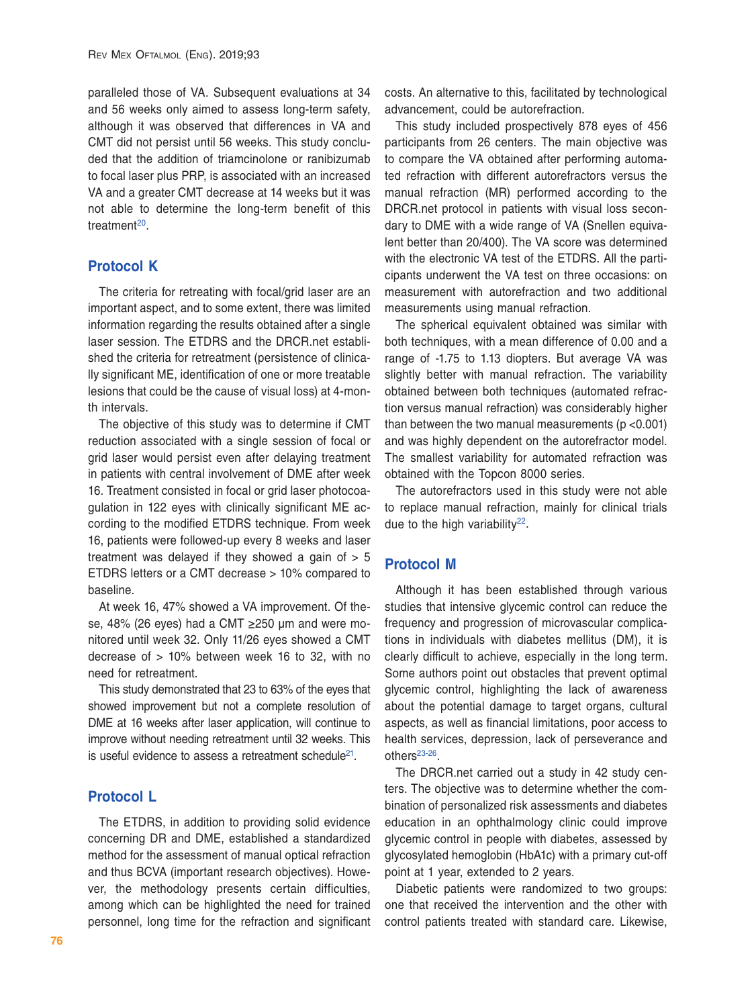paralleled those of VA. Subsequent evaluations at 34 and 56 weeks only aimed to assess long-term safety, although it was observed that differences in VA and CMT did not persist until 56 weeks. This study concluded that the addition of triamcinolone or ranibizumab to focal laser plus PRP, is associated with an increased VA and a greater CMT decrease at 14 weeks but it was not able to determine the long-term benefit of this treatment<sup>20</sup>.

## **Protocol K**

The criteria for retreating with focal/grid laser are an important aspect, and to some extent, there was limited information regarding the results obtained after a single laser session. The ETDRS and the DRCR.net established the criteria for retreatment (persistence of clinically significant ME, identification of one or more treatable lesions that could be the cause of visual loss) at 4-month intervals.

The objective of this study was to determine if CMT reduction associated with a single session of focal or grid laser would persist even after delaying treatment in patients with central involvement of DME after week 16. Treatment consisted in focal or grid laser photocoagulation in 122 eyes with clinically significant ME according to the modified ETDRS technique. From week 16, patients were followed-up every 8 weeks and laser treatment was delayed if they showed a gain of  $> 5$ ETDRS letters or a CMT decrease > 10% compared to baseline.

At week 16, 47% showed a VA improvement. Of these, 48% (26 eyes) had a CMT ≥250 μm and were monitored until week 32. Only 11/26 eyes showed a CMT decrease of > 10% between week 16 to 32, with no need for retreatment.

This study demonstrated that 23 to 63% of the eyes that showed improvement but not a complete resolution of DME at 16 weeks after laser application, will continue to improve without needing retreatment until 32 weeks. This is useful evidence to assess a retreatment schedule<sup>21</sup>.

## **Protocol L**

The ETDRS, in addition to providing solid evidence concerning DR and DME, established a standardized method for the assessment of manual optical refraction and thus BCVA (important research objectives). However, the methodology presents certain difficulties, among which can be highlighted the need for trained personnel, long time for the refraction and significant costs. An alternative to this, facilitated by technological advancement, could be autorefraction.

This study included prospectively 878 eyes of 456 participants from 26 centers. The main objective was to compare the VA obtained after performing automated refraction with different autorefractors versus the manual refraction (MR) performed according to the DRCR.net protocol in patients with visual loss secondary to DME with a wide range of VA (Snellen equivalent better than 20/400). The VA score was determined with the electronic VA test of the ETDRS. All the participants underwent the VA test on three occasions: on measurement with autorefraction and two additional measurements using manual refraction.

The spherical equivalent obtained was similar with both techniques, with a mean difference of 0.00 and a range of -1.75 to 1.13 diopters. But average VA was slightly better with manual refraction. The variability obtained between both techniques (automated refraction versus manual refraction) was considerably higher than between the two manual measurements (p <0.001) and was highly dependent on the autorefractor model. The smallest variability for automated refraction was obtained with the Topcon 8000 series.

The autorefractors used in this study were not able to replace manual refraction, mainly for clinical trials due to the high variability $^{22}$  $^{22}$  $^{22}$ .

#### **Protocol M**

Although it has been established through various studies that intensive glycemic control can reduce the frequency and progression of microvascular complications in individuals with diabetes mellitus (DM), it is clearly difficult to achieve, especially in the long term. Some authors point out obstacles that prevent optimal glycemic control, highlighting the lack of awareness about the potential damage to target organs, cultural aspects, as well as financial limitations, poor access to health services, depression, lack of perseverance and others<sup>[23](#page-12-22)[-26](#page-12-23)</sup>.

The DRCR.net carried out a study in 42 study centers. The objective was to determine whether the combination of personalized risk assessments and diabetes education in an ophthalmology clinic could improve glycemic control in people with diabetes, assessed by glycosylated hemoglobin (HbA1c) with a primary cut-off point at 1 year, extended to 2 years.

Diabetic patients were randomized to two groups: one that received the intervention and the other with control patients treated with standard care. Likewise,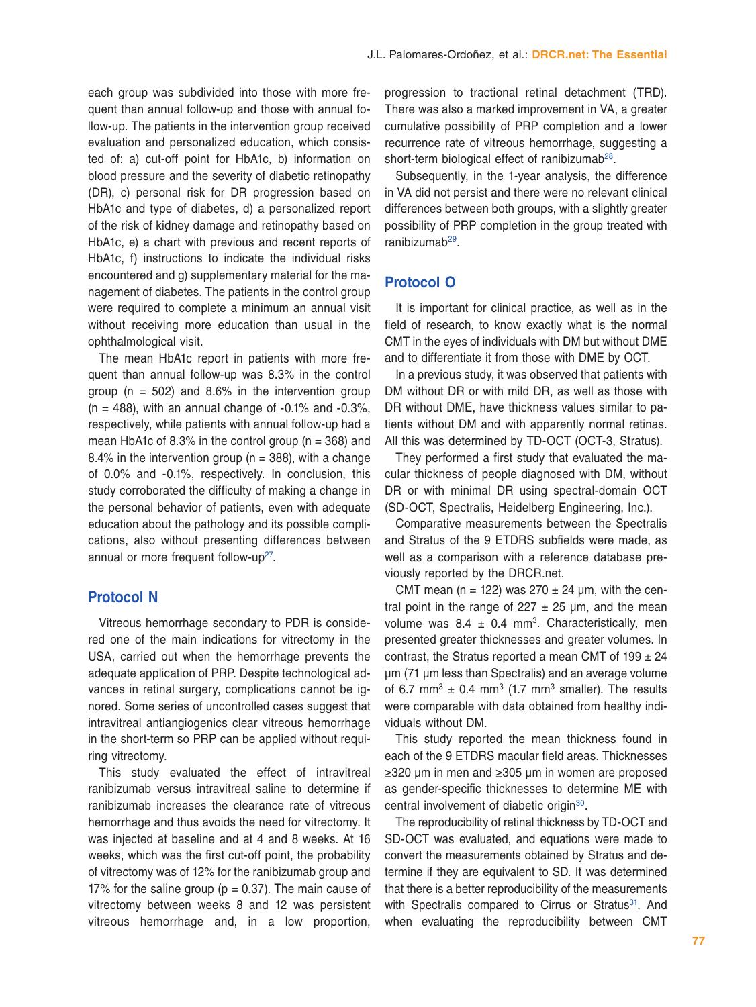each group was subdivided into those with more frequent than annual follow-up and those with annual follow-up. The patients in the intervention group received evaluation and personalized education, which consisted of: a) cut-off point for HbA1c, b) information on blood pressure and the severity of diabetic retinopathy (DR), c) personal risk for DR progression based on HbA1c and type of diabetes, d) a personalized report of the risk of kidney damage and retinopathy based on HbA1c, e) a chart with previous and recent reports of HbA1c, f) instructions to indicate the individual risks encountered and g) supplementary material for the management of diabetes. The patients in the control group were required to complete a minimum an annual visit without receiving more education than usual in the ophthalmological visit.

The mean HbA1c report in patients with more frequent than annual follow-up was 8.3% in the control group ( $n = 502$ ) and 8.6% in the intervention group  $(n = 488)$ , with an annual change of  $-0.1\%$  and  $-0.3\%$ , respectively, while patients with annual follow-up had a mean HbA1c of 8.3% in the control group ( $n = 368$ ) and 8.4% in the intervention group ( $n = 388$ ), with a change of 0.0% and -0.1%, respectively. In conclusion, this study corroborated the difficulty of making a change in the personal behavior of patients, even with adequate education about the pathology and its possible complications, also without presenting differences between annual or more frequent follow-up<sup>27</sup>.

#### **Protocol N**

Vitreous hemorrhage secondary to PDR is considered one of the main indications for vitrectomy in the USA, carried out when the hemorrhage prevents the adequate application of PRP. Despite technological advances in retinal surgery, complications cannot be ignored. Some series of uncontrolled cases suggest that intravitreal antiangiogenics clear vitreous hemorrhage in the short-term so PRP can be applied without requiring vitrectomy.

This study evaluated the effect of intravitreal ranibizumab versus intravitreal saline to determine if ranibizumab increases the clearance rate of vitreous hemorrhage and thus avoids the need for vitrectomy. It was injected at baseline and at 4 and 8 weeks. At 16 weeks, which was the first cut-off point, the probability of vitrectomy was of 12% for the ranibizumab group and 17% for the saline group ( $p = 0.37$ ). The main cause of vitrectomy between weeks 8 and 12 was persistent vitreous hemorrhage and, in a low proportion,

progression to tractional retinal detachment (TRD). There was also a marked improvement in VA, a greater cumulative possibility of PRP completion and a lower recurrence rate of vitreous hemorrhage, suggesting a short-term biological effect of ranibizumab<sup>28</sup>.

Subsequently, in the 1-year analysis, the difference in VA did not persist and there were no relevant clinical differences between both groups, with a slightly greater possibility of PRP completion in the group treated with ranibizumab<sup>29</sup>.

#### **Protocol O**

It is important for clinical practice, as well as in the field of research, to know exactly what is the normal CMT in the eyes of individuals with DM but without DME and to differentiate it from those with DME by OCT.

In a previous study, it was observed that patients with DM without DR or with mild DR, as well as those with DR without DME, have thickness values similar to patients without DM and with apparently normal retinas. All this was determined by TD-OCT (OCT-3, Stratus).

They performed a first study that evaluated the macular thickness of people diagnosed with DM, without DR or with minimal DR using spectral-domain OCT (SD-OCT, Spectralis, Heidelberg Engineering, Inc.).

Comparative measurements between the Spectralis and Stratus of the 9 ETDRS subfields were made, as well as a comparison with a reference database previously reported by the DRCR.net.

CMT mean (n = 122) was  $270 \pm 24$  µm, with the central point in the range of  $227 \pm 25$  µm, and the mean volume was  $8.4 \pm 0.4$  mm<sup>3</sup>. Characteristically, men presented greater thicknesses and greater volumes. In contrast, the Stratus reported a mean CMT of  $199 \pm 24$ μm (71 μm less than Spectralis) and an average volume of 6.7 mm<sup>3</sup>  $\pm$  0.4 mm<sup>3</sup> (1.7 mm<sup>3</sup> smaller). The results were comparable with data obtained from healthy individuals without DM.

This study reported the mean thickness found in each of the 9 ETDRS macular field areas. Thicknesses ≥320 μm in men and ≥305 μm in women are proposed as gender-specific thicknesses to determine ME with central involvement of diabetic origin<sup>30</sup>.

The reproducibility of retinal thickness by TD-OCT and SD-OCT was evaluated, and equations were made to convert the measurements obtained by Stratus and determine if they are equivalent to SD. It was determined that there is a better reproducibility of the measurements with Spectralis compared to Cirrus or Stratus<sup>31</sup>. And when evaluating the reproducibility between CMT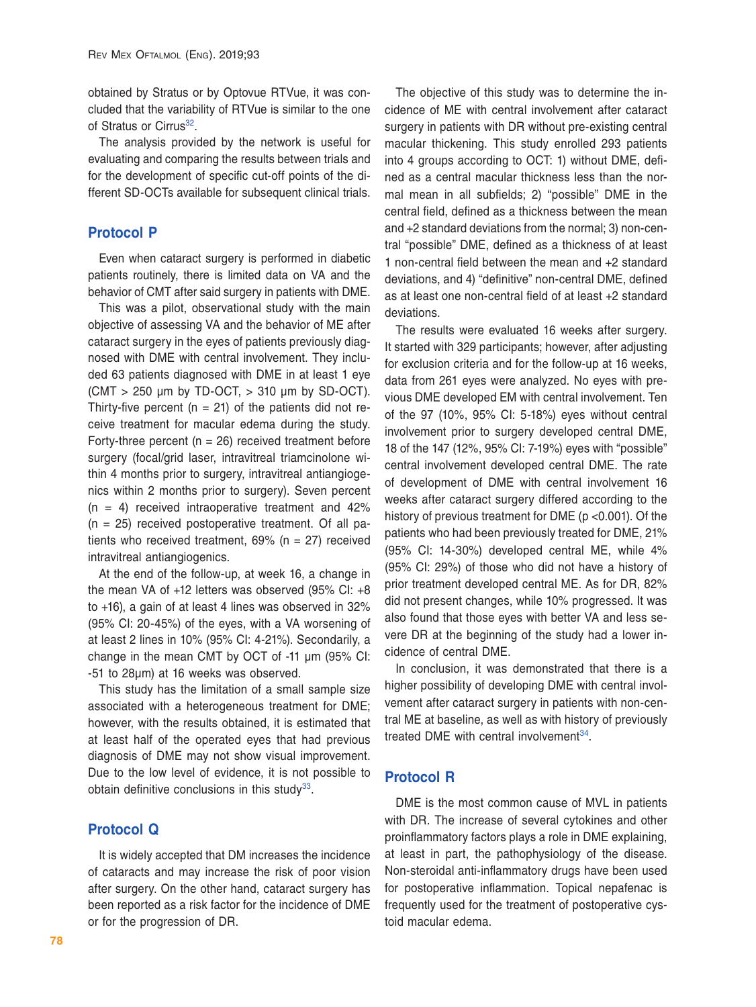obtained by Stratus or by Optovue RTVue, it was concluded that the variability of RTVue is similar to the one of Stratus or Cirrus<sup>32</sup>.

The analysis provided by the network is useful for evaluating and comparing the results between trials and for the development of specific cut-off points of the different SD-OCTs available for subsequent clinical trials.

## **Protocol P**

Even when cataract surgery is performed in diabetic patients routinely, there is limited data on VA and the behavior of CMT after said surgery in patients with DME.

This was a pilot, observational study with the main objective of assessing VA and the behavior of ME after cataract surgery in the eyes of patients previously diagnosed with DME with central involvement. They included 63 patients diagnosed with DME in at least 1 eye  $(CMT > 250 \mu m$  by TD-OCT,  $> 310 \mu m$  by SD-OCT). Thirty-five percent ( $n = 21$ ) of the patients did not receive treatment for macular edema during the study. Forty-three percent ( $n = 26$ ) received treatment before surgery (focal/grid laser, intravitreal triamcinolone within 4 months prior to surgery, intravitreal antiangiogenics within 2 months prior to surgery). Seven percent  $(n = 4)$  received intraoperative treatment and  $42\%$  $(n = 25)$  received postoperative treatment. Of all patients who received treatment,  $69\%$  (n = 27) received intravitreal antiangiogenics.

At the end of the follow-up, at week 16, a change in the mean VA of +12 letters was observed (95% CI: +8 to +16), a gain of at least 4 lines was observed in 32% (95% CI: 20-45%) of the eyes, with a VA worsening of at least 2 lines in 10% (95% CI: 4-21%). Secondarily, a change in the mean CMT by OCT of -11 μm (95% CI: -51 to 28μm) at 16 weeks was observed.

This study has the limitation of a small sample size associated with a heterogeneous treatment for DME; however, with the results obtained, it is estimated that at least half of the operated eyes that had previous diagnosis of DME may not show visual improvement. Due to the low level of evidence, it is not possible to obtain definitive conclusions in this study $33$ .

## **Protocol Q**

It is widely accepted that DM increases the incidence of cataracts and may increase the risk of poor vision after surgery. On the other hand, cataract surgery has been reported as a risk factor for the incidence of DME or for the progression of DR.

The objective of this study was to determine the incidence of ME with central involvement after cataract surgery in patients with DR without pre-existing central macular thickening. This study enrolled 293 patients into 4 groups according to OCT: 1) without DME, defined as a central macular thickness less than the normal mean in all subfields; 2) "possible" DME in the central field, defined as a thickness between the mean and +2 standard deviations from the normal; 3) non-central "possible" DME, defined as a thickness of at least 1 non-central field between the mean and +2 standard deviations, and 4) "definitive" non-central DME, defined as at least one non-central field of at least +2 standard deviations.

The results were evaluated 16 weeks after surgery. It started with 329 participants; however, after adjusting for exclusion criteria and for the follow-up at 16 weeks, data from 261 eyes were analyzed. No eyes with previous DME developed EM with central involvement. Ten of the 97 (10%, 95% CI: 5-18%) eyes without central involvement prior to surgery developed central DME, 18 of the 147 (12%, 95% CI: 7-19%) eyes with "possible" central involvement developed central DME. The rate of development of DME with central involvement 16 weeks after cataract surgery differed according to the history of previous treatment for DME (p <0.001). Of the patients who had been previously treated for DME, 21% (95% CI: 14-30%) developed central ME, while 4% (95% CI: 29%) of those who did not have a history of prior treatment developed central ME. As for DR, 82% did not present changes, while 10% progressed. It was also found that those eyes with better VA and less severe DR at the beginning of the study had a lower incidence of central DME.

In conclusion, it was demonstrated that there is a higher possibility of developing DME with central involvement after cataract surgery in patients with non-central ME at baseline, as well as with history of previously treated DME with central involvement<sup>34</sup>.

### **Protocol R**

DME is the most common cause of MVL in patients with DR. The increase of several cytokines and other proinflammatory factors plays a role in DME explaining, at least in part, the pathophysiology of the disease. Non-steroidal anti-inflammatory drugs have been used for postoperative inflammation. Topical nepafenac is frequently used for the treatment of postoperative cystoid macular edema.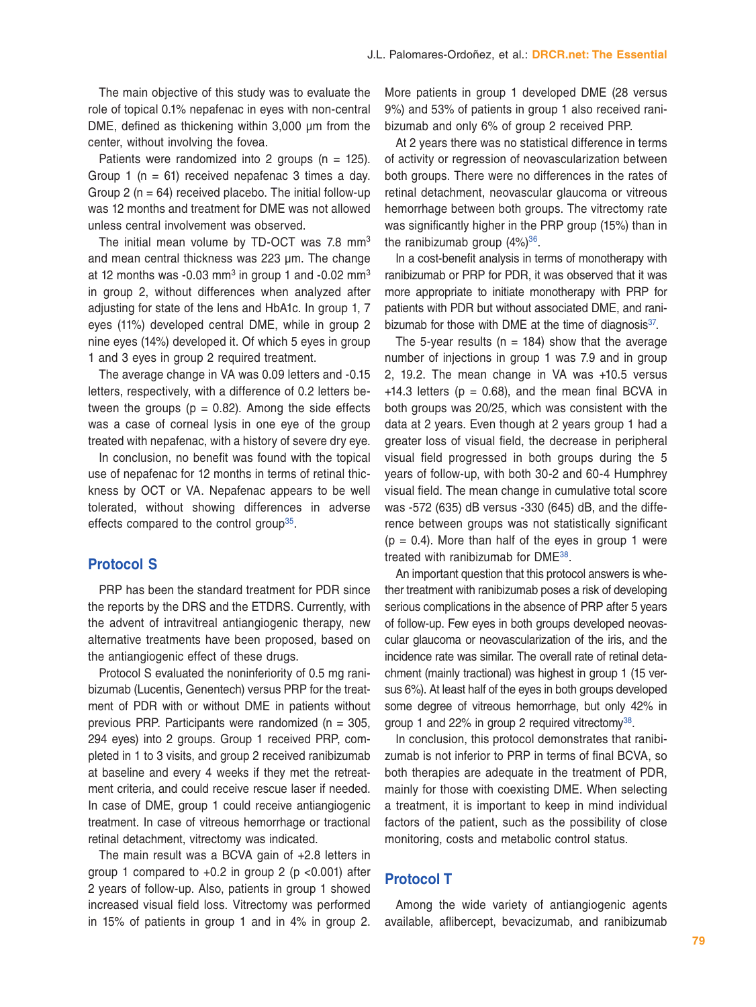The main objective of this study was to evaluate the role of topical 0.1% nepafenac in eyes with non-central DME, defined as thickening within 3,000 μm from the center, without involving the fovea.

Patients were randomized into 2 groups ( $n = 125$ ). Group 1 ( $n = 61$ ) received nepafenac 3 times a day. Group 2 ( $n = 64$ ) received placebo. The initial follow-up was 12 months and treatment for DME was not allowed unless central involvement was observed.

The initial mean volume by TD-OCT was 7.8 mm<sup>3</sup> and mean central thickness was 223 μm. The change at 12 months was  $-0.03$  mm<sup>3</sup> in group 1 and  $-0.02$  mm<sup>3</sup> in group 2, without differences when analyzed after adjusting for state of the lens and HbA1c. In group 1, 7 eyes (11%) developed central DME, while in group 2 nine eyes (14%) developed it. Of which 5 eyes in group 1 and 3 eyes in group 2 required treatment.

The average change in VA was 0.09 letters and -0.15 letters, respectively, with a difference of 0.2 letters between the groups ( $p = 0.82$ ). Among the side effects was a case of corneal lysis in one eye of the group treated with nepafenac, with a history of severe dry eye.

In conclusion, no benefit was found with the topical use of nepafenac for 12 months in terms of retinal thickness by OCT or VA. Nepafenac appears to be well tolerated, without showing differences in adverse effects compared to the control group<sup>35</sup>.

#### **Protocol S**

PRP has been the standard treatment for PDR since the reports by the DRS and the ETDRS. Currently, with the advent of intravitreal antiangiogenic therapy, new alternative treatments have been proposed, based on the antiangiogenic effect of these drugs.

Protocol S evaluated the noninferiority of 0.5 mg ranibizumab (Lucentis, Genentech) versus PRP for the treatment of PDR with or without DME in patients without previous PRP. Participants were randomized ( $n = 305$ , 294 eyes) into 2 groups. Group 1 received PRP, completed in 1 to 3 visits, and group 2 received ranibizumab at baseline and every 4 weeks if they met the retreatment criteria, and could receive rescue laser if needed. In case of DME, group 1 could receive antiangiogenic treatment. In case of vitreous hemorrhage or tractional retinal detachment, vitrectomy was indicated.

The main result was a BCVA gain of +2.8 letters in group 1 compared to  $+0.2$  in group 2 (p <0.001) after 2 years of follow-up. Also, patients in group 1 showed increased visual field loss. Vitrectomy was performed in 15% of patients in group 1 and in 4% in group 2.

More patients in group 1 developed DME (28 versus 9%) and 53% of patients in group 1 also received ranibizumab and only 6% of group 2 received PRP.

At 2 years there was no statistical difference in terms of activity or regression of neovascularization between both groups. There were no differences in the rates of retinal detachment, neovascular glaucoma or vitreous hemorrhage between both groups. The vitrectomy rate was significantly higher in the PRP group (15%) than in the ranibizumab group  $(4\%)^{36}$ .

In a cost-benefit analysis in terms of monotherapy with ranibizumab or PRP for PDR, it was observed that it was more appropriate to initiate monotherapy with PRP for patients with PDR but without associated DME, and ranibizumab for those with DME at the time of diagnosis $37$ .

The 5-year results ( $n = 184$ ) show that the average number of injections in group 1 was 7.9 and in group 2, 19.2. The mean change in VA was +10.5 versus +14.3 letters ( $p = 0.68$ ), and the mean final BCVA in both groups was 20/25, which was consistent with the data at 2 years. Even though at 2 years group 1 had a greater loss of visual field, the decrease in peripheral visual field progressed in both groups during the 5 years of follow-up, with both 30-2 and 60-4 Humphrey visual field. The mean change in cumulative total score was -572 (635) dB versus -330 (645) dB, and the difference between groups was not statistically significant  $(p = 0.4)$ . More than half of the eyes in group 1 were treated with ranibizumab for DM[E38](#page-12-35).

An important question that this protocol answers is whether treatment with ranibizumab poses a risk of developing serious complications in the absence of PRP after 5 years of follow-up. Few eyes in both groups developed neovascular glaucoma or neovascularization of the iris, and the incidence rate was similar. The overall rate of retinal detachment (mainly tractional) was highest in group 1 (15 versus 6%). At least half of the eyes in both groups developed some degree of vitreous hemorrhage, but only 42% in group 1 and 22% in group 2 required vitrectomy<sup>38</sup>.

In conclusion, this protocol demonstrates that ranibizumab is not inferior to PRP in terms of final BCVA, so both therapies are adequate in the treatment of PDR, mainly for those with coexisting DME. When selecting a treatment, it is important to keep in mind individual factors of the patient, such as the possibility of close monitoring, costs and metabolic control status.

#### **Protocol T**

Among the wide variety of antiangiogenic agents available, aflibercept, bevacizumab, and ranibizumab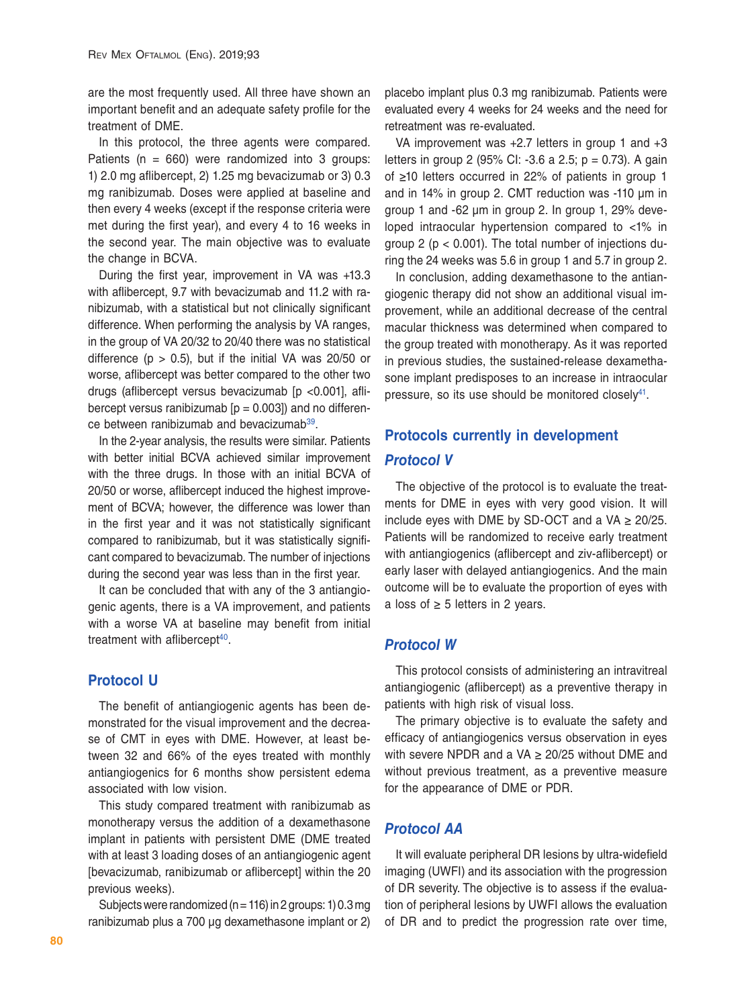are the most frequently used. All three have shown an important benefit and an adequate safety profile for the treatment of DME.

In this protocol, the three agents were compared. Patients ( $n = 660$ ) were randomized into 3 groups: 1) 2.0 mg aflibercept, 2) 1.25 mg bevacizumab or 3) 0.3 mg ranibizumab. Doses were applied at baseline and then every 4 weeks (except if the response criteria were met during the first year), and every 4 to 16 weeks in the second year. The main objective was to evaluate the change in BCVA.

During the first year, improvement in VA was +13.3 with aflibercept, 9.7 with bevacizumab and 11.2 with ranibizumab, with a statistical but not clinically significant difference. When performing the analysis by VA ranges, in the group of VA 20/32 to 20/40 there was no statistical difference ( $p > 0.5$ ), but if the initial VA was 20/50 or worse, aflibercept was better compared to the other two drugs (aflibercept versus bevacizumab [p <0.001], aflibercept versus ranibizumab  $[p = 0.003]$  and no differen-ce between ranibizumab and bevacizumab<sup>[39](#page-12-36)</sup>.

In the 2-year analysis, the results were similar. Patients with better initial BCVA achieved similar improvement with the three drugs. In those with an initial BCVA of 20/50 or worse, aflibercept induced the highest improvement of BCVA; however, the difference was lower than in the first year and it was not statistically significant compared to ranibizumab, but it was statistically significant compared to bevacizumab. The number of injections during the second year was less than in the first year.

It can be concluded that with any of the 3 antiangiogenic agents, there is a VA improvement, and patients with a worse VA at baseline may benefit from initial treatment with aflibercept<sup>40</sup>.

## **Protocol U**

The benefit of antiangiogenic agents has been demonstrated for the visual improvement and the decrease of CMT in eyes with DME. However, at least between 32 and 66% of the eyes treated with monthly antiangiogenics for 6 months show persistent edema associated with low vision.

This study compared treatment with ranibizumab as monotherapy versus the addition of a dexamethasone implant in patients with persistent DME (DME treated with at least 3 loading doses of an antiangiogenic agent [bevacizumab, ranibizumab or aflibercept] within the 20 previous weeks).

Subjects were randomized (n = 116) in 2 groups: 1) 0.3 mg ranibizumab plus a 700 μg dexamethasone implant or 2) placebo implant plus 0.3 mg ranibizumab. Patients were evaluated every 4 weeks for 24 weeks and the need for retreatment was re-evaluated.

VA improvement was +2.7 letters in group 1 and +3 letters in group 2 (95% CI:  $-3.6$  a 2.5; p = 0.73). A gain of ≥10 letters occurred in 22% of patients in group 1 and in 14% in group 2. CMT reduction was -110 μm in group 1 and -62 μm in group 2. In group 1, 29% developed intraocular hypertension compared to <1% in group 2 ( $p < 0.001$ ). The total number of injections during the 24 weeks was 5.6 in group 1 and 5.7 in group 2.

In conclusion, adding dexamethasone to the antiangiogenic therapy did not show an additional visual improvement, while an additional decrease of the central macular thickness was determined when compared to the group treated with monotherapy. As it was reported in previous studies, the sustained-release dexamethasone implant predisposes to an increase in intraocular pressure, so its use should be monitored closely $41$ .

# **Protocols currently in development** *Protocol V*

The objective of the protocol is to evaluate the treatments for DME in eyes with very good vision. It will include eyes with DME by SD-OCT and a VA  $\geq$  20/25. Patients will be randomized to receive early treatment with antiangiogenics (aflibercept and ziv-aflibercept) or early laser with delayed antiangiogenics. And the main outcome will be to evaluate the proportion of eyes with a loss of  $\geq$  5 letters in 2 years.

#### *Protocol W*

This protocol consists of administering an intravitreal antiangiogenic (aflibercept) as a preventive therapy in patients with high risk of visual loss.

The primary objective is to evaluate the safety and efficacy of antiangiogenics versus observation in eyes with severe NPDR and a VA  $\geq$  20/25 without DME and without previous treatment, as a preventive measure for the appearance of DME or PDR.

## *Protocol AA*

It will evaluate peripheral DR lesions by ultra-widefield imaging (UWFI) and its association with the progression of DR severity. The objective is to assess if the evaluation of peripheral lesions by UWFI allows the evaluation of DR and to predict the progression rate over time,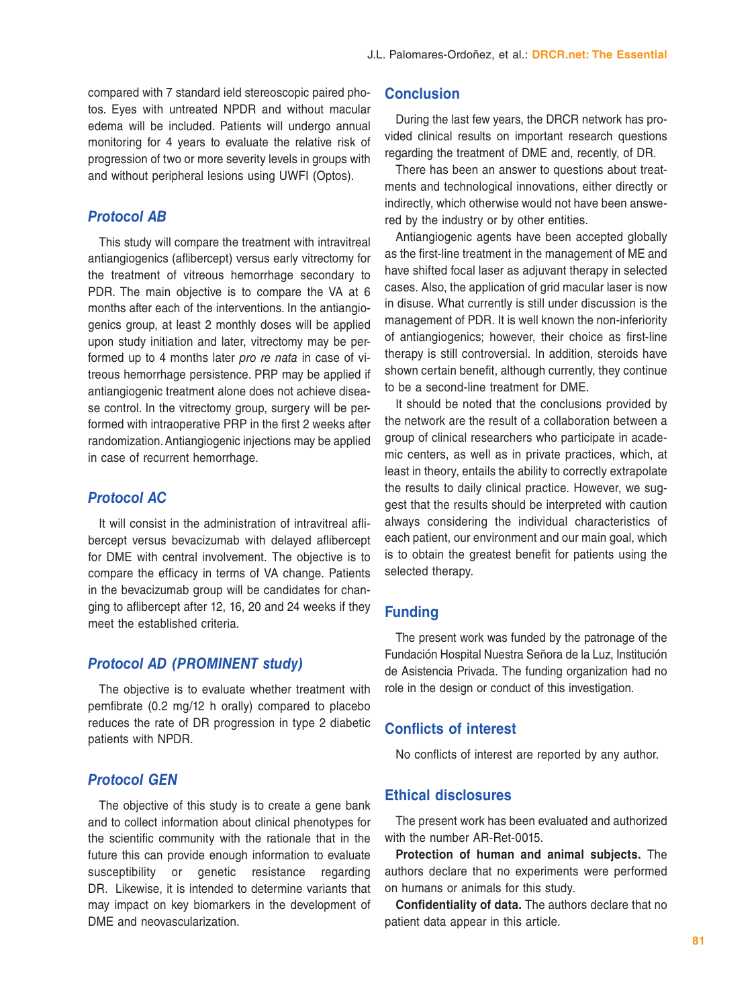compared with 7 standard ield stereoscopic paired photos. Eyes with untreated NPDR and without macular edema will be included. Patients will undergo annual monitoring for 4 years to evaluate the relative risk of progression of two or more severity levels in groups with and without peripheral lesions using UWFI (Optos).

### *Protocol AB*

This study will compare the treatment with intravitreal antiangiogenics (aflibercept) versus early vitrectomy for the treatment of vitreous hemorrhage secondary to PDR. The main objective is to compare the VA at 6 months after each of the interventions. In the antiangiogenics group, at least 2 monthly doses will be applied upon study initiation and later, vitrectomy may be performed up to 4 months later *pro re nata* in case of vitreous hemorrhage persistence. PRP may be applied if antiangiogenic treatment alone does not achieve disease control. In the vitrectomy group, surgery will be performed with intraoperative PRP in the first 2 weeks after randomization. Antiangiogenic injections may be applied in case of recurrent hemorrhage.

#### *Protocol AC*

It will consist in the administration of intravitreal aflibercept versus bevacizumab with delayed aflibercept for DME with central involvement. The objective is to compare the efficacy in terms of VA change. Patients in the bevacizumab group will be candidates for changing to aflibercept after 12, 16, 20 and 24 weeks if they meet the established criteria.

## *Protocol AD (PROMINENT study)*

The objective is to evaluate whether treatment with pemfibrate (0.2 mg/12 h orally) compared to placebo reduces the rate of DR progression in type 2 diabetic patients with NPDR.

## *Protocol GEN*

The objective of this study is to create a gene bank and to collect information about clinical phenotypes for the scientific community with the rationale that in the future this can provide enough information to evaluate susceptibility or genetic resistance regarding DR. Likewise, it is intended to determine variants that may impact on key biomarkers in the development of DME and neovascularization.

#### **Conclusion**

During the last few years, the DRCR network has provided clinical results on important research questions regarding the treatment of DME and, recently, of DR.

There has been an answer to questions about treatments and technological innovations, either directly or indirectly, which otherwise would not have been answered by the industry or by other entities.

Antiangiogenic agents have been accepted globally as the first-line treatment in the management of ME and have shifted focal laser as adjuvant therapy in selected cases. Also, the application of grid macular laser is now in disuse. What currently is still under discussion is the management of PDR. It is well known the non-inferiority of antiangiogenics; however, their choice as first-line therapy is still controversial. In addition, steroids have shown certain benefit, although currently, they continue to be a second-line treatment for DME.

It should be noted that the conclusions provided by the network are the result of a collaboration between a group of clinical researchers who participate in academic centers, as well as in private practices, which, at least in theory, entails the ability to correctly extrapolate the results to daily clinical practice. However, we suggest that the results should be interpreted with caution always considering the individual characteristics of each patient, our environment and our main goal, which is to obtain the greatest benefit for patients using the selected therapy.

## **Funding**

The present work was funded by the patronage of the Fundación Hospital Nuestra Señora de la Luz, Institución de Asistencia Privada. The funding organization had no role in the design or conduct of this investigation.

#### **Conflicts of interest**

No conflicts of interest are reported by any author.

#### **Ethical disclosures**

The present work has been evaluated and authorized with the number AR-Ret-0015.

**Protection of human and animal subjects.** The authors declare that no experiments were performed on humans or animals for this study.

**Confidentiality of data.** The authors declare that no patient data appear in this article.